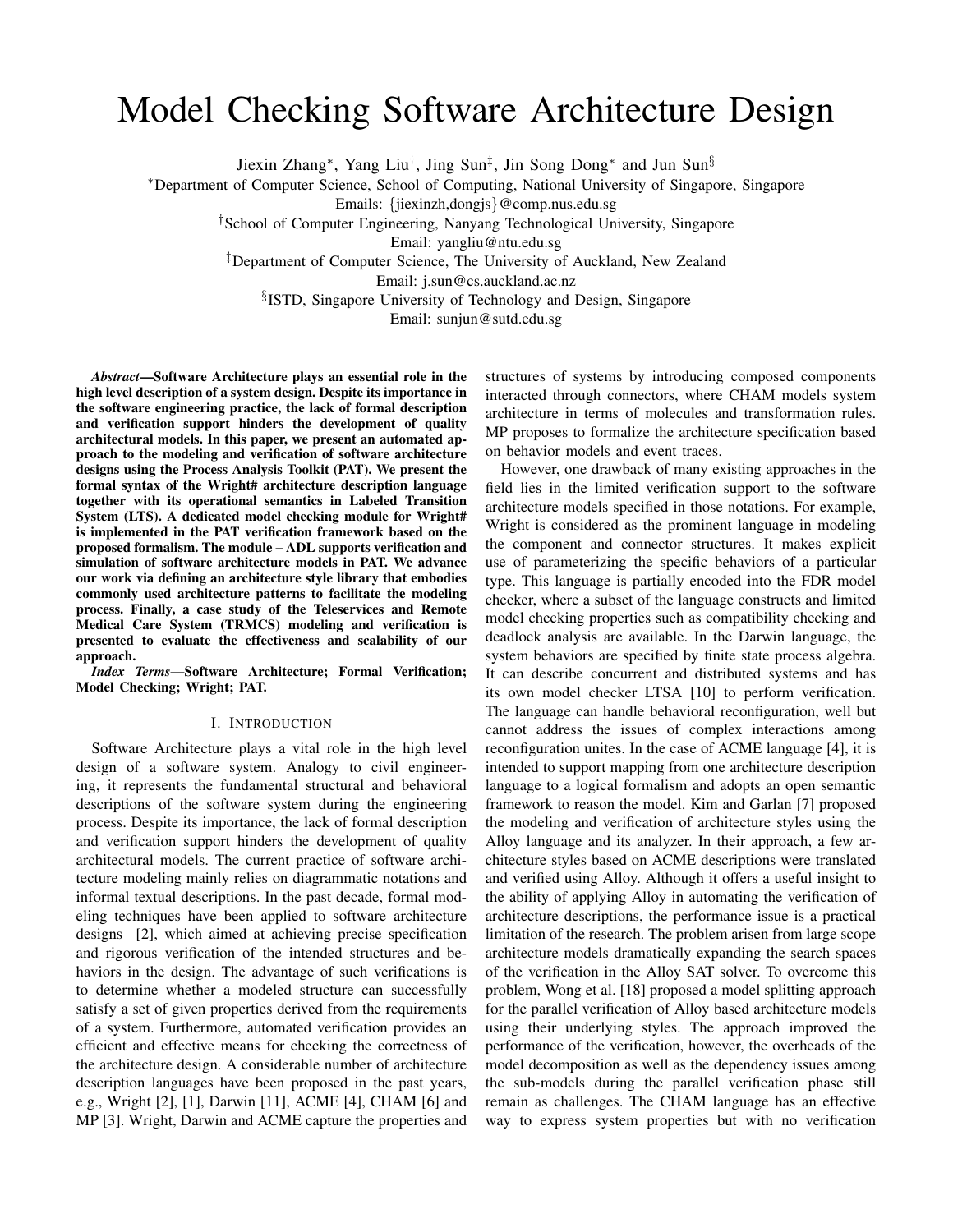# Model Checking Software Architecture Design

Jiexin Zhang*∗* , Yang Liu*†* , Jing Sun*‡* , Jin Song Dong*∗* and Jun Sun*§*

*∗*Department of Computer Science, School of Computing, National University of Singapore, Singapore

Emails: *{*jiexinzh,dongjs*}*@comp.nus.edu.sg

*†*School of Computer Engineering, Nanyang Technological University, Singapore

Email: yangliu@ntu.edu.sg

*‡*Department of Computer Science, The University of Auckland, New Zealand

Email: j.sun@cs.auckland.ac.nz

*§* ISTD, Singapore University of Technology and Design, Singapore

Email: sunjun@sutd.edu.sg

*Abstract*—Software Architecture plays an essential role in the high level description of a system design. Despite its importance in the software engineering practice, the lack of formal description and verification support hinders the development of quality architectural models. In this paper, we present an automated approach to the modeling and verification of software architecture designs using the Process Analysis Toolkit (PAT). We present the formal syntax of the Wright# architecture description language together with its operational semantics in Labeled Transition System (LTS). A dedicated model checking module for Wright# is implemented in the PAT verification framework based on the proposed formalism. The module – ADL supports verification and simulation of software architecture models in PAT. We advance our work via defining an architecture style library that embodies commonly used architecture patterns to facilitate the modeling process. Finally, a case study of the Teleservices and Remote Medical Care System (TRMCS) modeling and verification is presented to evaluate the effectiveness and scalability of our approach.

*Index Terms*—Software Architecture; Formal Verification; Model Checking; Wright; PAT.

# I. INTRODUCTION

Software Architecture plays a vital role in the high level design of a software system. Analogy to civil engineering, it represents the fundamental structural and behavioral descriptions of the software system during the engineering process. Despite its importance, the lack of formal description and verification support hinders the development of quality architectural models. The current practice of software architecture modeling mainly relies on diagrammatic notations and informal textual descriptions. In the past decade, formal modeling techniques have been applied to software architecture designs [2], which aimed at achieving precise specification and rigorous verification of the intended structures and behaviors in the design. The advantage of such verifications is to determine whether a modeled structure can successfully satisfy a set of given properties derived from the requirements of a system. Furthermore, automated verification provides an efficient and effective means for checking the correctness of the architecture design. A considerable number of architecture description languages have been proposed in the past years, e.g., Wright [2], [1], Darwin [11], ACME [4], CHAM [6] and MP [3]. Wright, Darwin and ACME capture the properties and

structures of systems by introducing composed components interacted through connectors, where CHAM models system architecture in terms of molecules and transformation rules. MP proposes to formalize the architecture specification based on behavior models and event traces.

However, one drawback of many existing approaches in the field lies in the limited verification support to the software architecture models specified in those notations. For example, Wright is considered as the prominent language in modeling the component and connector structures. It makes explicit use of parameterizing the specific behaviors of a particular type. This language is partially encoded into the FDR model checker, where a subset of the language constructs and limited model checking properties such as compatibility checking and deadlock analysis are available. In the Darwin language, the system behaviors are specified by finite state process algebra. It can describe concurrent and distributed systems and has its own model checker LTSA [10] to perform verification. The language can handle behavioral reconfiguration, well but cannot address the issues of complex interactions among reconfiguration unites. In the case of ACME language [4], it is intended to support mapping from one architecture description language to a logical formalism and adopts an open semantic framework to reason the model. Kim and Garlan [7] proposed the modeling and verification of architecture styles using the Alloy language and its analyzer. In their approach, a few architecture styles based on ACME descriptions were translated and verified using Alloy. Although it offers a useful insight to the ability of applying Alloy in automating the verification of architecture descriptions, the performance issue is a practical limitation of the research. The problem arisen from large scope architecture models dramatically expanding the search spaces of the verification in the Alloy SAT solver. To overcome this problem, Wong et al. [18] proposed a model splitting approach for the parallel verification of Alloy based architecture models using their underlying styles. The approach improved the performance of the verification, however, the overheads of the model decomposition as well as the dependency issues among the sub-models during the parallel verification phase still remain as challenges. The CHAM language has an effective way to express system properties but with no verification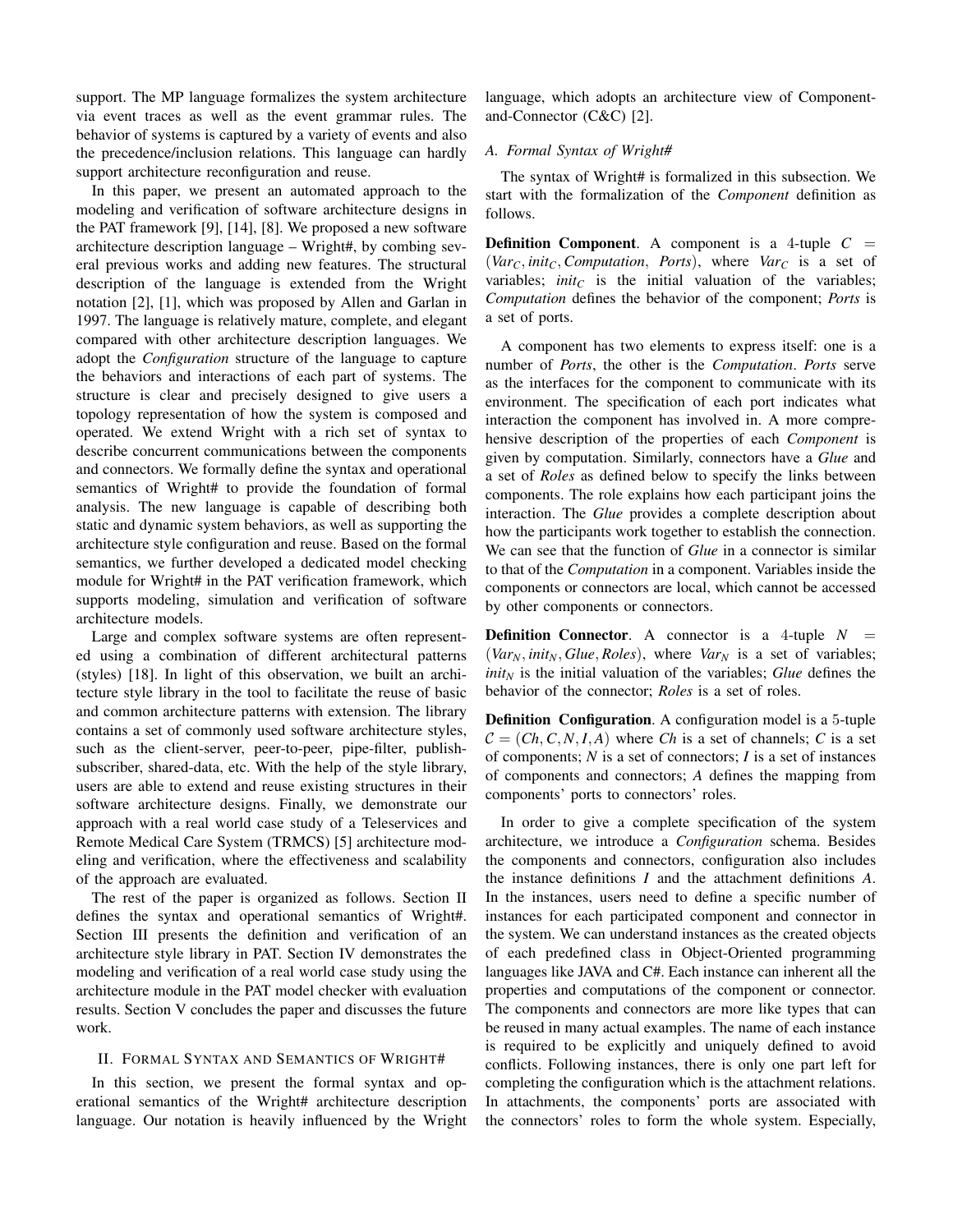support. The MP language formalizes the system architecture via event traces as well as the event grammar rules. The behavior of systems is captured by a variety of events and also the precedence/inclusion relations. This language can hardly support architecture reconfiguration and reuse.

In this paper, we present an automated approach to the modeling and verification of software architecture designs in the PAT framework [9], [14], [8]. We proposed a new software architecture description language – Wright#, by combing several previous works and adding new features. The structural description of the language is extended from the Wright notation [2], [1], which was proposed by Allen and Garlan in 1997. The language is relatively mature, complete, and elegant compared with other architecture description languages. We adopt the *Configuration* structure of the language to capture the behaviors and interactions of each part of systems. The structure is clear and precisely designed to give users a topology representation of how the system is composed and operated. We extend Wright with a rich set of syntax to describe concurrent communications between the components and connectors. We formally define the syntax and operational semantics of Wright# to provide the foundation of formal analysis. The new language is capable of describing both static and dynamic system behaviors, as well as supporting the architecture style configuration and reuse. Based on the formal semantics, we further developed a dedicated model checking module for Wright# in the PAT verification framework, which supports modeling, simulation and verification of software architecture models.

Large and complex software systems are often represented using a combination of different architectural patterns (styles) [18]. In light of this observation, we built an architecture style library in the tool to facilitate the reuse of basic and common architecture patterns with extension. The library contains a set of commonly used software architecture styles, such as the client-server, peer-to-peer, pipe-filter, publishsubscriber, shared-data, etc. With the help of the style library, users are able to extend and reuse existing structures in their software architecture designs. Finally, we demonstrate our approach with a real world case study of a Teleservices and Remote Medical Care System (TRMCS) [5] architecture modeling and verification, where the effectiveness and scalability of the approach are evaluated.

The rest of the paper is organized as follows. Section II defines the syntax and operational semantics of Wright#. Section III presents the definition and verification of an architecture style library in PAT. Section IV demonstrates the modeling and verification of a real world case study using the architecture module in the PAT model checker with evaluation results. Section V concludes the paper and discusses the future work.

#### II. FORMAL SYNTAX AND SEMANTICS OF WRIGHT#

In this section, we present the formal syntax and operational semantics of the Wright# architecture description language. Our notation is heavily influenced by the Wright language, which adopts an architecture view of Componentand-Connector (C&C) [2].

#### *A. Formal Syntax of Wright#*

The syntax of Wright# is formalized in this subsection. We start with the formalization of the *Component* definition as follows.

**Definition Component.** A component is a 4-tuple  $C =$  $(Var_C, init_C, Computation, Ports)$ , where  $Var_C$  is a set of variables;  $init_C$  is the initial valuation of the variables; *Computation* defines the behavior of the component; *Ports* is a set of ports.

A component has two elements to express itself: one is a number of *Ports*, the other is the *Computation*. *Ports* serve as the interfaces for the component to communicate with its environment. The specification of each port indicates what interaction the component has involved in. A more comprehensive description of the properties of each *Component* is given by computation. Similarly, connectors have a *Glue* and a set of *Roles* as defined below to specify the links between components. The role explains how each participant joins the interaction. The *Glue* provides a complete description about how the participants work together to establish the connection. We can see that the function of *Glue* in a connector is similar to that of the *Computation* in a component. Variables inside the components or connectors are local, which cannot be accessed by other components or connectors.

**Definition Connector.** A connector is a 4-tuple  $N =$  $(Var_N, init_N, Glue, Roles),$  where  $Var_N$  is a set of variables; *init<sup>N</sup>* is the initial valuation of the variables; *Glue* defines the behavior of the connector; *Roles* is a set of roles.

Definition Configuration. A configuration model is a 5-tuple  $C = (Ch, C, N, I, A)$  where *Ch* is a set of channels; *C* is a set of components; *N* is a set of connectors; *I* is a set of instances of components and connectors; *A* defines the mapping from components' ports to connectors' roles.

In order to give a complete specification of the system architecture, we introduce a *Configuration* schema. Besides the components and connectors, configuration also includes the instance definitions *I* and the attachment definitions *A*. In the instances, users need to define a specific number of instances for each participated component and connector in the system. We can understand instances as the created objects of each predefined class in Object-Oriented programming languages like JAVA and C#. Each instance can inherent all the properties and computations of the component or connector. The components and connectors are more like types that can be reused in many actual examples. The name of each instance is required to be explicitly and uniquely defined to avoid conflicts. Following instances, there is only one part left for completing the configuration which is the attachment relations. In attachments, the components' ports are associated with the connectors' roles to form the whole system. Especially,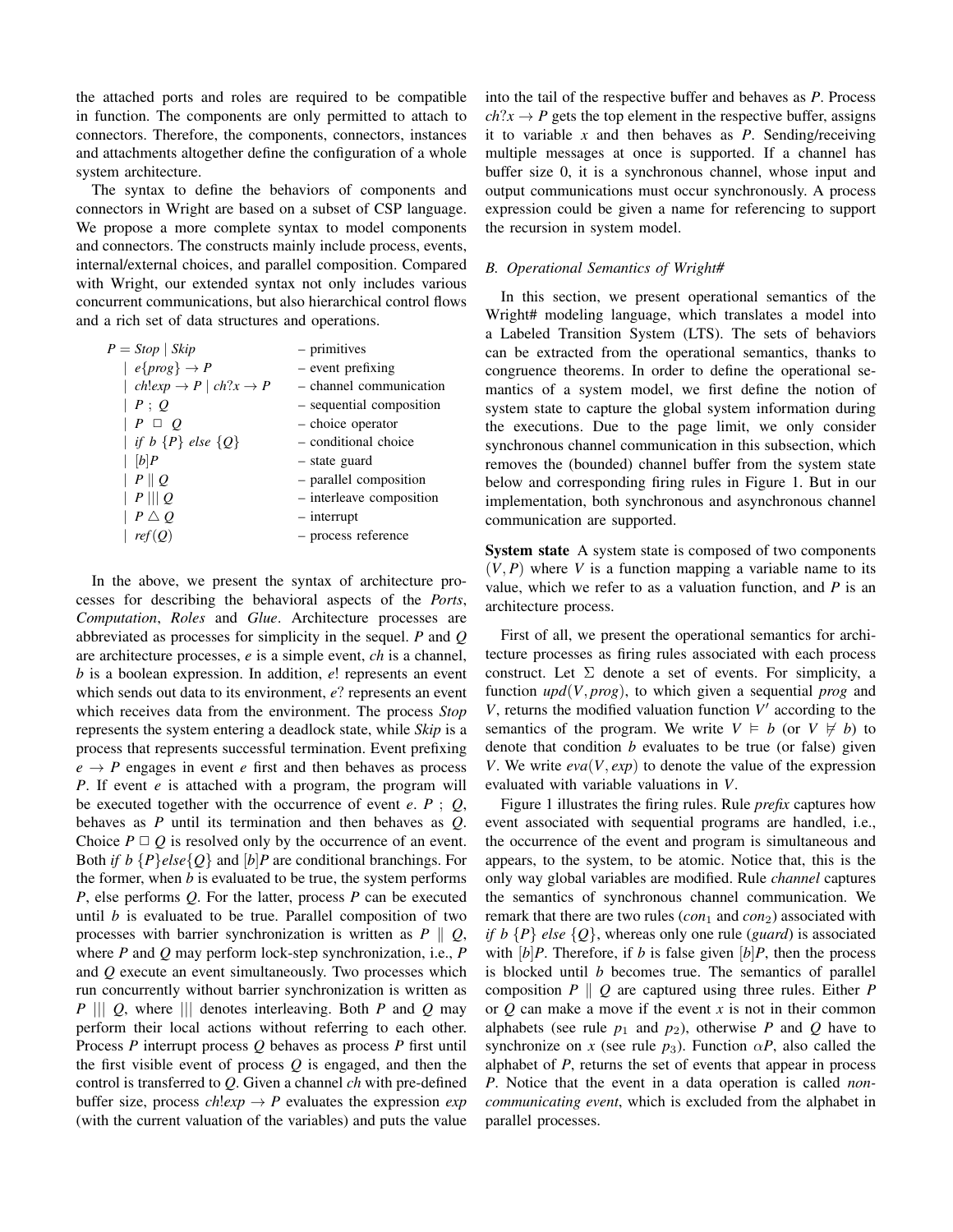the attached ports and roles are required to be compatible in function. The components are only permitted to attach to connectors. Therefore, the components, connectors, instances and attachments altogether define the configuration of a whole system architecture.

The syntax to define the behaviors of components and connectors in Wright are based on a subset of CSP language. We propose a more complete syntax to model components and connectors. The constructs mainly include process, events, internal/external choices, and parallel composition. Compared with Wright, our extended syntax not only includes various concurrent communications, but also hierarchical control flows and a rich set of data structures and operations.

| - channel communication  |
|--------------------------|
|                          |
|                          |
| - sequential composition |
|                          |
|                          |
|                          |
|                          |
| - interleave composition |
|                          |
|                          |
| - parallel composition   |

In the above, we present the syntax of architecture processes for describing the behavioral aspects of the *Ports*, *Computation*, *Roles* and *Glue*. Architecture processes are abbreviated as processes for simplicity in the sequel. *P* and *Q* are architecture processes, *e* is a simple event, *ch* is a channel, *b* is a boolean expression. In addition, *e*! represents an event which sends out data to its environment, *e*? represents an event which receives data from the environment. The process *Stop* represents the system entering a deadlock state, while *Skip* is a process that represents successful termination. Event prefixing  $e \rightarrow P$  engages in event *e* first and then behaves as process *P*. If event *e* is attached with a program, the program will be executed together with the occurrence of event *e*. *P* ; *Q*, behaves as *P* until its termination and then behaves as *Q*. Choice  $P \sqcup Q$  is resolved only by the occurrence of an event. Both *if b*  ${P}$ *else* ${Q}$  and  $[b]$ *P* are conditional branchings. For the former, when *b* is evaluated to be true, the system performs *P*, else performs *Q*. For the latter, process *P* can be executed until *b* is evaluated to be true. Parallel composition of two processes with barrier synchronization is written as *P ∥ Q*, where *P* and *Q* may perform lock-step synchronization, i.e., *P* and *Q* execute an event simultaneously. Two processes which run concurrently without barrier synchronization is written as *P ||| Q*, where *|||* denotes interleaving. Both *P* and *Q* may perform their local actions without referring to each other. Process *P* interrupt process *Q* behaves as process *P* first until the first visible event of process *Q* is engaged, and then the control is transferred to *Q*. Given a channel *ch* with pre-defined buffer size, process  $\text{ch} \cdot \text{exp} \rightarrow P$  evaluates the expression  $\text{exp}$ (with the current valuation of the variables) and puts the value into the tail of the respective buffer and behaves as *P*. Process  $ch?x \rightarrow P$  gets the top element in the respective buffer, assigns it to variable *x* and then behaves as *P*. Sending/receiving multiple messages at once is supported. If a channel has buffer size 0, it is a synchronous channel, whose input and output communications must occur synchronously. A process expression could be given a name for referencing to support the recursion in system model.

# *B. Operational Semantics of Wright#*

In this section, we present operational semantics of the Wright# modeling language, which translates a model into a Labeled Transition System (LTS). The sets of behaviors can be extracted from the operational semantics, thanks to congruence theorems. In order to define the operational semantics of a system model, we first define the notion of system state to capture the global system information during the executions. Due to the page limit, we only consider synchronous channel communication in this subsection, which removes the (bounded) channel buffer from the system state below and corresponding firing rules in Figure 1. But in our implementation, both synchronous and asynchronous channel communication are supported.

System state A system state is composed of two components  $(V, P)$  where V is a function mapping a variable name to its value, which we refer to as a valuation function, and *P* is an architecture process.

First of all, we present the operational semantics for architecture processes as firing rules associated with each process construct. Let  $\Sigma$  denote a set of events. For simplicity, a function *upd*(*V, prog*), to which given a sequential *prog* and  $V$ , returns the modified valuation function  $V'$  according to the semantics of the program. We write  $V \models b$  (or  $V \not\models b$ ) to denote that condition *b* evaluates to be true (or false) given *V*. We write *eva*(*V, exp*) to denote the value of the expression evaluated with variable valuations in *V*.

Figure 1 illustrates the firing rules. Rule *prefix* captures how event associated with sequential programs are handled, i.e., the occurrence of the event and program is simultaneous and appears, to the system, to be atomic. Notice that, this is the only way global variables are modified. Rule *channel* captures the semantics of synchronous channel communication. We remark that there are two rules  $(con_1$  and  $con_2)$  associated with *if b {P} else {Q}*, whereas only one rule (*guard*) is associated with  $[b]P$ . Therefore, if *b* is false given  $[b]P$ , then the process is blocked until *b* becomes true. The semantics of parallel composition *P ∥ Q* are captured using three rules. Either *P* or *Q* can make a move if the event *x* is not in their common alphabets (see rule  $p_1$  and  $p_2$ ), otherwise P and Q have to synchronize on *x* (see rule  $p_3$ ). Function  $\alpha P$ , also called the alphabet of *P*, returns the set of events that appear in process *P*. Notice that the event in a data operation is called *noncommunicating event*, which is excluded from the alphabet in parallel processes.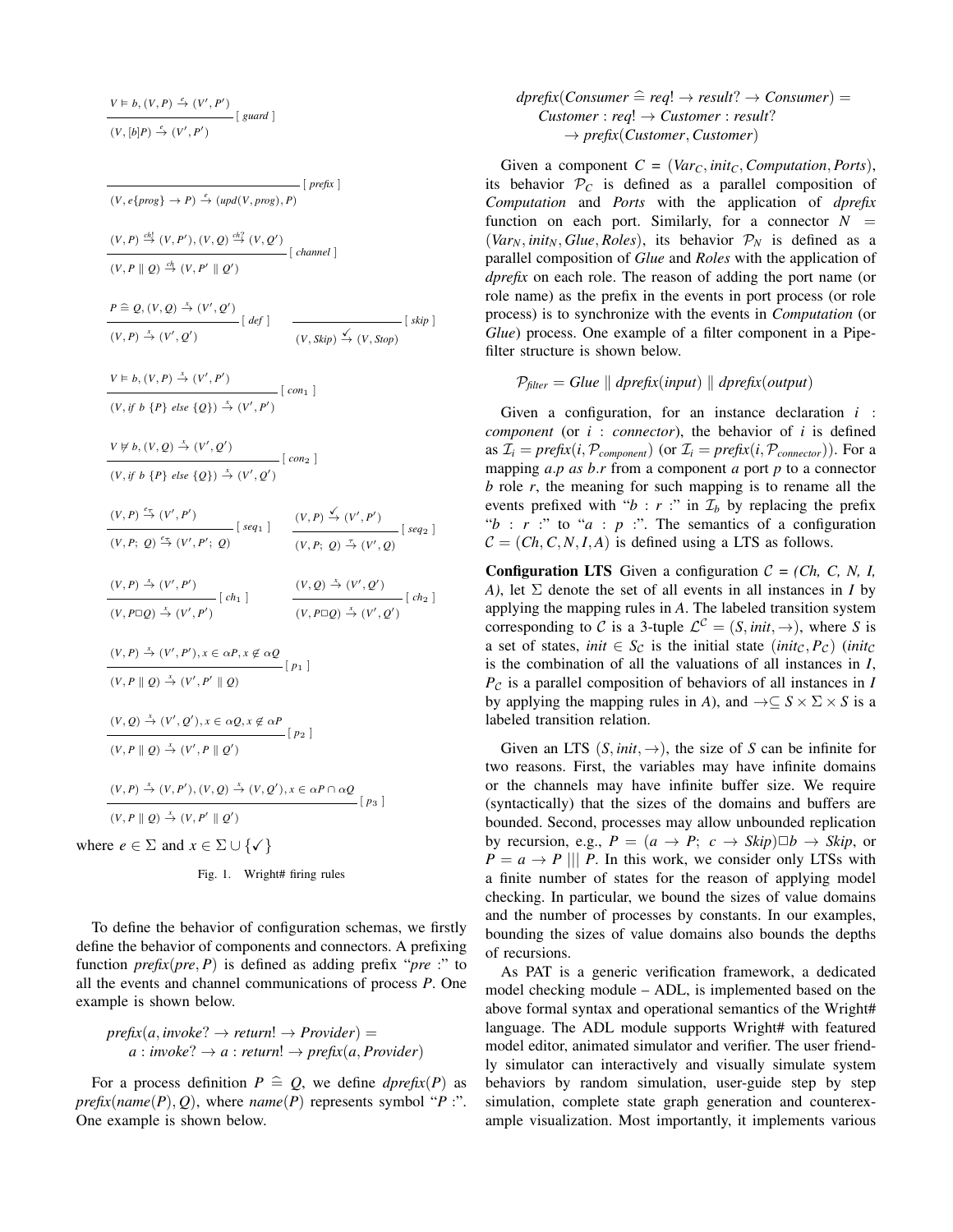$$
V \vDash b, (V, P) \xrightarrow{e} (V', P')
$$
  

$$
(V, [b]P) \xrightarrow{e} (V', P')
$$
 [ guard ]

[*prefix*]  
\n
$$
(V, e\{prog\} \rightarrow P) \xrightarrow{\epsilon} (upd(V, prog), P)
$$
\n
$$
(V, P \parallel Q) \xrightarrow{ch} (V, P'), (V, Q) \xrightarrow{ch} (V, Q')
$$
\n
$$
P \triangleq Q, (V, Q) \xrightarrow{\epsilon} (V', Q')
$$
\n
$$
P \triangleq Q, (V, Q) \xrightarrow{\epsilon} (V', Q')
$$
\n
$$
V \triangleq (V', Q')
$$
\n
$$
V \triangleq (V', Q')
$$
\n
$$
V \triangleq (V, P) \xrightarrow{\epsilon} (V', Q')
$$
\n
$$
V \triangleq (V, P) \xrightarrow{\epsilon} (V', P')
$$
\n
$$
V \triangleq (V, P) \triangleq (V', P')
$$
\n
$$
V \triangleq (V, P) \triangleq (V', P')
$$
\n
$$
V \triangleq (V, Q) \triangleq (V', Q')
$$
\n
$$
V \triangleq (V, Q) \triangleq (V', Q')
$$
\n
$$
V \triangleq (V, P) \triangleq (V', Q')
$$
\n
$$
V \triangleq (V', P') \wedge (V', P')
$$
\n
$$
V \triangleq (V', P') \wedge (V', P')
$$
\n
$$
V \triangleq (V', P') \wedge (V', P')
$$
\n
$$
V \triangleq (V', P') \wedge (V', P') \wedge (V', P) \triangleq (V', Q')
$$
\n
$$
V \triangleq (V', P') \triangleq (V', P')
$$
\n
$$
V \triangleq (V', P') \triangleq (V', P') \wedge (V, P \triangleq (V', Q')
$$
\n
$$
V \triangleq (V, P \triangle) \triangleq (V', P') \triangleq (V', P' \parallel Q)
$$
\n
$$
V \triangleq (V, P \parallel Q) \triangleq (V', P' \parallel Q)
$$
\n
$$
V \triangleq (V, P \parallel Q) \triangleq (V', P' \parallel Q')
$$
\n
$$
V \triangleq (V, P \parallel Q) \triangleq (V, P \parallel Q')
$$
\n
$$
V \triangleq (V, P \parallel Q) \triangleq (V, P \parallel Q')
$$
\n
$$
V \triangleq (V, P \parallel Q')
$$
\n
$$
V \triangleq (
$$

where  $e \in \Sigma$  and  $x \in \Sigma \cup \{\checkmark\}$ 

Fig. 1. Wright# firing rules

To define the behavior of configuration schemas, we firstly define the behavior of components and connectors. A prefixing function  $prefix(pre, P)$  is defined as adding prefix "*pre* :" to all the events and channel communications of process *P*. One example is shown below.

$$
prefix(a, invoke? \rightarrow return! \rightarrow Project) = a : invoke? \rightarrow a : return! \rightarrow prefix(a, Providence)
$$

For a process definition  $P \nightharpoonup Q$ , we define *dprefix*(*P*) as *prefix*( $name(P), Q$ ), where  $name(P)$  represents symbol "*P* :". One example is shown below.

$$
dprefix(b) = \n cuser \n # \n eq! \n # \n result? \n # \n Constant \n # \n constant \n # \n constant \n # \n result? \n # \n test \n # \n test \n # \n test \n # \n test \n # \n test \n # \n test \n # \n test \n # \n test \n # \n test \n # \n test \n # \n test \n # \n test \n # \n test \n # \n test \n # \n test \n # \n test \n # \n test \n # \n test \n # \n test \n # \n test \n # \n test \n # \n test \n # \n test \n # \n test \n # \n test \n # \n test \n # \n test \n # \n test \n # \n test \n # \n test \n # \n test \n # \n test \n # \n test \n # \n test \n # \n test \n # \n test \n # \n test \n # \n test \n # \n test \n # \n test \n # \n test \n # \n test \n # \n test \n # \n test \n # \n test \n # \n test \n # \n test \n # \n test \n # \n test \n # \n test \n # \n test \n # \n test \n # \n test \n # \n test \n # \n test \n # \n test \n # \n test \n # \n test \n # \n test \n # \n test \n # \n test \n # \n test \n # \n test \n # \n test \n # \n test \n # \n test \n # \n test \n # \n test \n # \n test \n # \n test \n # \n test \n # \n test \n # \n test \n # \n test \n # \n test \n # \n test \n # \n test \n # \n test \n # \n test \n # \n test \n # \n test \n # \n test \n # \n test \n # \n test \n # \n test \n # \n test \n # \n test \
$$

Given a component  $C = (Var_C, init_C, Computation, Ports)$ , its behavior  $P_C$  is defined as a parallel composition of *Computation* and *Ports* with the application of *dprefix* function on each port. Similarly, for a connector  $N =$ (*Var<sub>N</sub>*, *init<sub>N</sub>*, *Glue*, *Roles*), its behavior  $P_N$  is defined as a parallel composition of *Glue* and *Roles* with the application of *dprefix* on each role. The reason of adding the port name (or role name) as the prefix in the events in port process (or role process) is to synchronize with the events in *Computation* (or *Glue*) process. One example of a filter component in a Pipefilter structure is shown below.

$$
P_{filter} = Glue \parallel dprefix(input) \parallel dprefix(output)
$$

Given a configuration, for an instance declaration *i* : *component* (or *i* : *connector*), the behavior of *i* is defined as  $\mathcal{I}_i = \text{prefix}(i, \mathcal{P}_{\text{component}})$  (or  $\mathcal{I}_i = \text{prefix}(i, \mathcal{P}_{\text{connector}})$ ). For a mapping *a.p as b.r* from a component *a* port *p* to a connector *b* role *r*, the meaning for such mapping is to rename all the events prefixed with " $b : r :$ " in  $\mathcal{I}_b$  by replacing the prefix " $b : r :$ " to " $a : p :$ ". The semantics of a configuration  $C = (Ch, C, N, I, A)$  is defined using a LTS as follows.

**Configuration LTS** Given a configuration  $C = (Ch, C, N, I, I)$ *A)*, let Σ denote the set of all events in all instances in *I* by applying the mapping rules in *A*. The labeled transition system corresponding to *C* is a 3-tuple  $\mathcal{L}^C = (S, init, \rightarrow)$ , where *S* is a set of states, *init*  $\in S_c$  is the initial state (*init<sub>C</sub>*,  $P_c$ ) (*init<sub>C</sub>* is the combination of all the valuations of all instances in *I*, *P<sup>C</sup>* is a parallel composition of behaviors of all instances in *I* by applying the mapping rules in *A*), and  $\rightarrow \subseteq S \times \Sigma \times S$  is a labeled transition relation.

Given an LTS  $(S, init, \rightarrow)$ , the size of *S* can be infinite for two reasons. First, the variables may have infinite domains or the channels may have infinite buffer size. We require (syntactically) that the sizes of the domains and buffers are bounded. Second, processes may allow unbounded replication by recursion, e.g.,  $P = (a \rightarrow P; c \rightarrow Skip) \Box b \rightarrow Skip$ , or  $P = a \rightarrow P$  ||| *P*. In this work, we consider only LTSs with a finite number of states for the reason of applying model checking. In particular, we bound the sizes of value domains and the number of processes by constants. In our examples, bounding the sizes of value domains also bounds the depths of recursions.

As PAT is a generic verification framework, a dedicated model checking module – ADL, is implemented based on the above formal syntax and operational semantics of the Wright# language. The ADL module supports Wright# with featured model editor, animated simulator and verifier. The user friendly simulator can interactively and visually simulate system behaviors by random simulation, user-guide step by step simulation, complete state graph generation and counterexample visualization. Most importantly, it implements various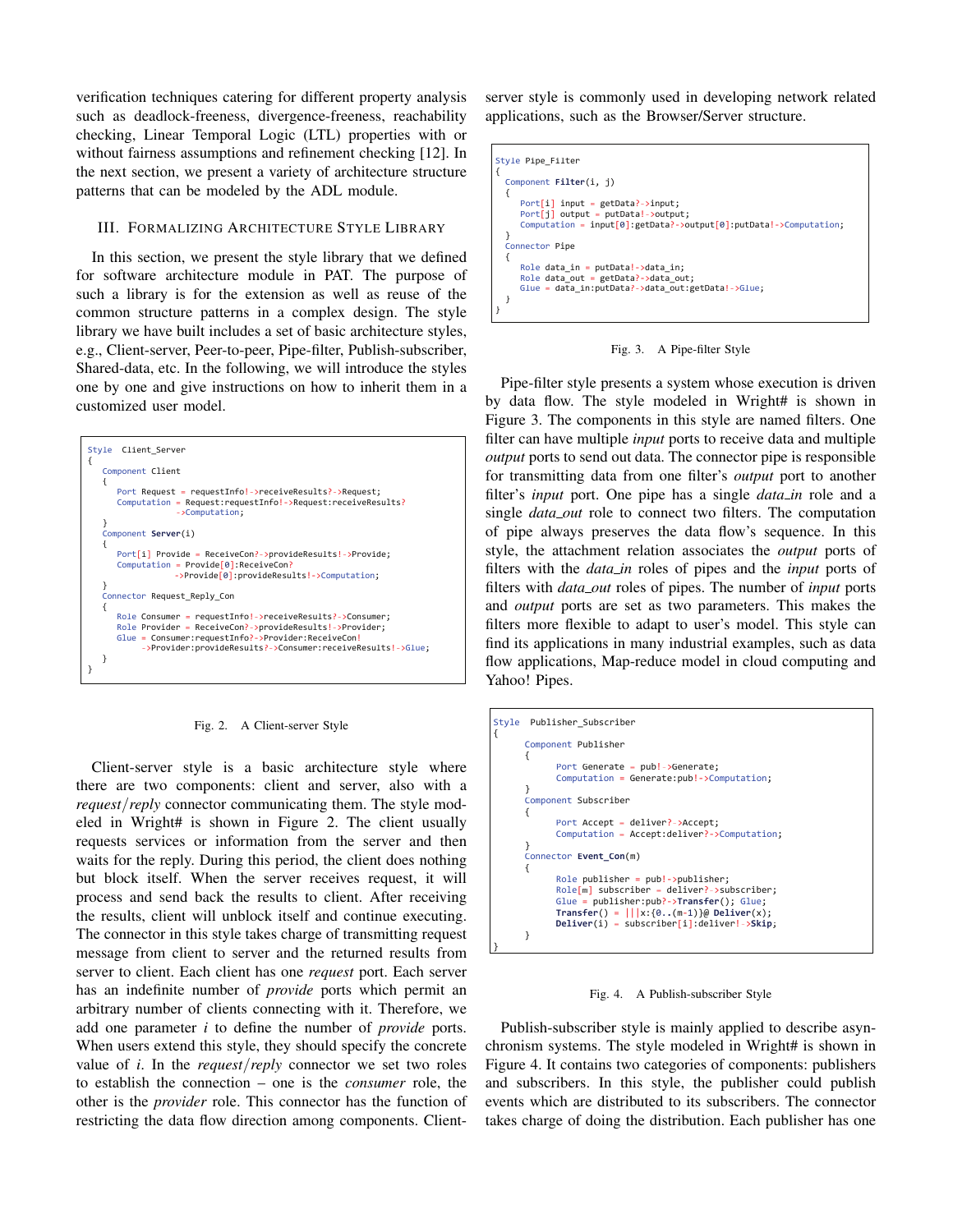verification techniques catering for different property analysis such as deadlock-freeness, divergence-freeness, reachability checking, Linear Temporal Logic (LTL) properties with or without fairness assumptions and refinement checking [12]. In the next section, we present a variety of architecture structure patterns that can be modeled by the ADL module.

## III. FORMALIZING ARCHITECTURE STYLE LIBRARY

In this section, we present the style library that we defined for software architecture module in PAT. The purpose of such a library is for the extension as well as reuse of the common structure patterns in a complex design. The style library we have built includes a set of basic architecture styles, e.g., Client-server, Peer-to-peer, Pipe-filter, Publish-subscriber, Shared-data, etc. In the following, we will introduce the styles one by one and give instructions on how to inherit them in a customized user model.



Fig. 2. A Client-server Style

Client-server style is a basic architecture style where there are two components: client and server, also with a *request/reply* connector communicating them. The style modeled in Wright# is shown in Figure 2. The client usually requests services or information from the server and then waits for the reply. During this period, the client does nothing but block itself. When the server receives request, it will process and send back the results to client. After receiving the results, client will unblock itself and continue executing. The connector in this style takes charge of transmitting request message from client to server and the returned results from server to client. Each client has one *request* port. Each server has an indefinite number of *provide* ports which permit an arbitrary number of clients connecting with it. Therefore, we add one parameter *i* to define the number of *provide* ports. When users extend this style, they should specify the concrete value of *i*. In the *request/reply* connector we set two roles to establish the connection – one is the *consumer* role, the other is the *provider* role. This connector has the function of restricting the data flow direction among components. Clientserver style is commonly used in developing network related applications, such as the Browser/Server structure.

| Style Pipe Filter                                                      |  |  |  |  |  |
|------------------------------------------------------------------------|--|--|--|--|--|
|                                                                        |  |  |  |  |  |
| Component Filter(i, j)                                                 |  |  |  |  |  |
|                                                                        |  |  |  |  |  |
|                                                                        |  |  |  |  |  |
| $Port[i]$ input = getData?->input;                                     |  |  |  |  |  |
| $Port[i]$ output = putData!->output;                                   |  |  |  |  |  |
|                                                                        |  |  |  |  |  |
| Computation = $input[0]$ : getData?->output[0]: putData!->Computation; |  |  |  |  |  |
|                                                                        |  |  |  |  |  |
| Connector Pipe                                                         |  |  |  |  |  |
|                                                                        |  |  |  |  |  |
|                                                                        |  |  |  |  |  |
| Role data in = $putData! - 2$ data in;                                 |  |  |  |  |  |
| Role data out = $getData? - >data$ out;                                |  |  |  |  |  |
| Glue = data in: putData? - > data out: getData! - > Glue;              |  |  |  |  |  |
|                                                                        |  |  |  |  |  |
|                                                                        |  |  |  |  |  |
|                                                                        |  |  |  |  |  |
|                                                                        |  |  |  |  |  |

Fig. 3. A Pipe-filter Style

Pipe-filter style presents a system whose execution is driven by data flow. The style modeled in Wright# is shown in Figure 3. The components in this style are named filters. One filter can have multiple *input* ports to receive data and multiple *output* ports to send out data. The connector pipe is responsible for transmitting data from one filter's *output* port to another filter's *input* port. One pipe has a single *data\_in* role and a single *data out* role to connect two filters. The computation of pipe always preserves the data flow's sequence. In this style, the attachment relation associates the *output* ports of filters with the *data in* roles of pipes and the *input* ports of filters with *data out* roles of pipes. The number of *input* ports and *output* ports are set as two parameters. This makes the filters more flexible to adapt to user's model. This style can find its applications in many industrial examples, such as data flow applications, Map-reduce model in cloud computing and Yahoo! Pipes.

| Publisher Subscriber<br>Style |                                                                                                                                                                                                                                                           |  |  |  |
|-------------------------------|-----------------------------------------------------------------------------------------------------------------------------------------------------------------------------------------------------------------------------------------------------------|--|--|--|
|                               | Component Publisher                                                                                                                                                                                                                                       |  |  |  |
|                               | Port Generate = pub!->Generate;<br>Computation = Generate: pub! -> Computation;                                                                                                                                                                           |  |  |  |
| Component Subscriber          |                                                                                                                                                                                                                                                           |  |  |  |
|                               | Port Accept = deliver?->Accept;<br>Computation = Accept:deliver?->Computation;                                                                                                                                                                            |  |  |  |
|                               | Connector Event Con(m)                                                                                                                                                                                                                                    |  |  |  |
|                               | $Role$ publisher = $pub!$ -> $publisher$ ;<br>$Role[m]$ subscriber = deliver?->subscriber;<br>Glue = $public$ : $pub?$ ->Transfer(); Glue;<br>Transfer() = $  x:\{0(m-1)\}\omega$ Deliver(x);<br>$Deliver(i) = subscripter[i]:deliver! \rightarrow Skip;$ |  |  |  |
|                               |                                                                                                                                                                                                                                                           |  |  |  |

Fig. 4. A Publish-subscriber Style

Publish-subscriber style is mainly applied to describe asynchronism systems. The style modeled in Wright# is shown in Figure 4. It contains two categories of components: publishers and subscribers. In this style, the publisher could publish events which are distributed to its subscribers. The connector takes charge of doing the distribution. Each publisher has one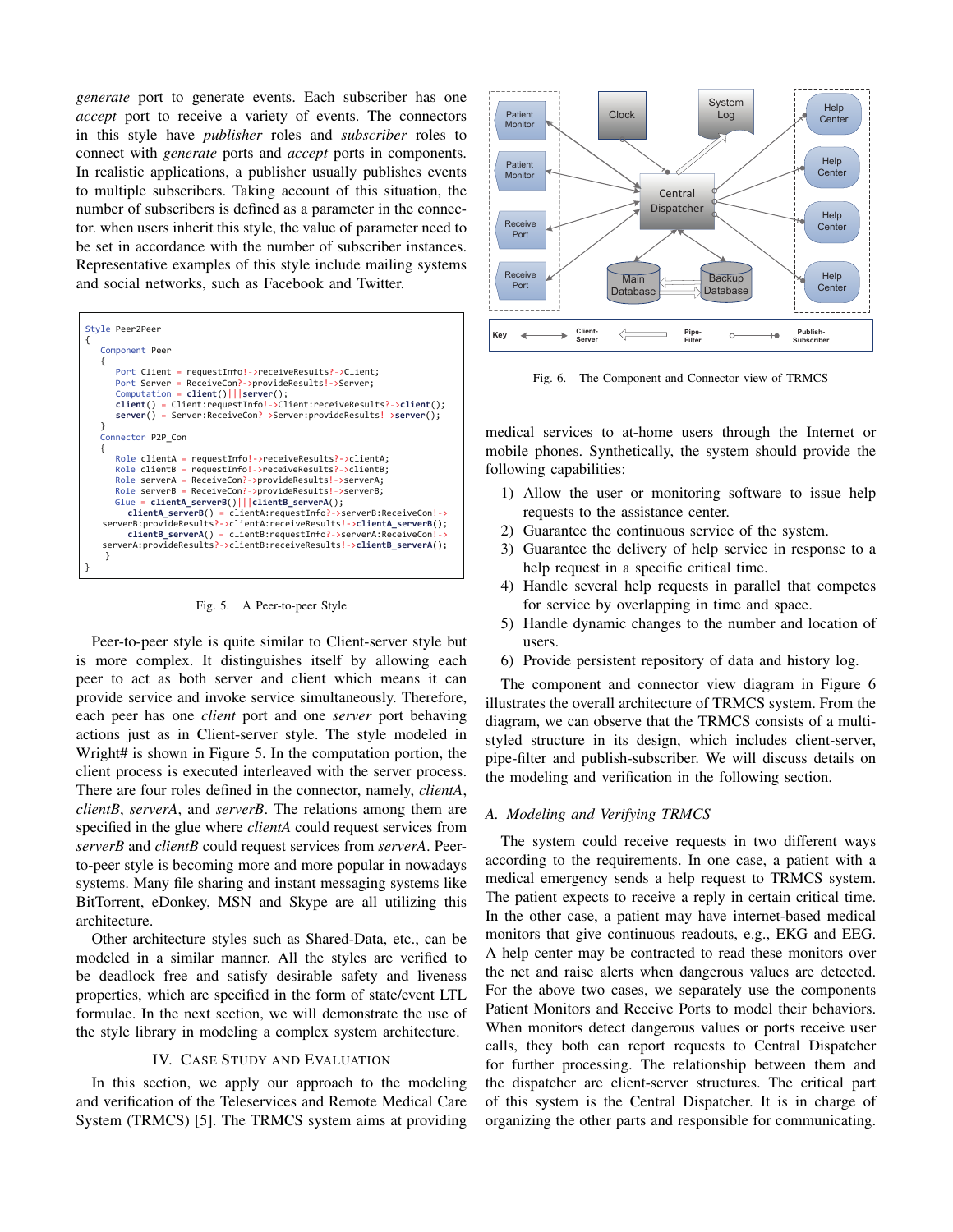*generate* port to generate events. Each subscriber has one *accept* port to receive a variety of events. The connectors in this style have *publisher* roles and *subscriber* roles to connect with *generate* ports and *accept* ports in components. In realistic applications, a publisher usually publishes events to multiple subscribers. Taking account of this situation, the number of subscribers is defined as a parameter in the connector. when users inherit this style, the value of parameter need to be set in accordance with the number of subscriber instances. Representative examples of this style include mailing systems and social networks, such as Facebook and Twitter.



Fig. 5. A Peer-to-peer Style

Peer-to-peer style is quite similar to Client-server style but is more complex. It distinguishes itself by allowing each peer to act as both server and client which means it can provide service and invoke service simultaneously. Therefore, each peer has one *client* port and one *server* port behaving actions just as in Client-server style. The style modeled in Wright# is shown in Figure 5. In the computation portion, the client process is executed interleaved with the server process. There are four roles defined in the connector, namely, *clientA*, *clientB*, *serverA*, and *serverB*. The relations among them are specified in the glue where *clientA* could request services from *serverB* and *clientB* could request services from *serverA*. Peerto-peer style is becoming more and more popular in nowadays systems. Many file sharing and instant messaging systems like BitTorrent, eDonkey, MSN and Skype are all utilizing this architecture.

Other architecture styles such as Shared-Data, etc., can be modeled in a similar manner. All the styles are verified to be deadlock free and satisfy desirable safety and liveness properties, which are specified in the form of state/event LTL formulae. In the next section, we will demonstrate the use of the style library in modeling a complex system architecture.

# IV. CASE STUDY AND EVALUATION

In this section, we apply our approach to the modeling and verification of the Teleservices and Remote Medical Care System (TRMCS) [5]. The TRMCS system aims at providing



Fig. 6. The Component and Connector view of TRMCS

medical services to at-home users through the Internet or mobile phones. Synthetically, the system should provide the following capabilities:

- 1) Allow the user or monitoring software to issue help requests to the assistance center.
- 2) Guarantee the continuous service of the system.
- 3) Guarantee the delivery of help service in response to a help request in a specific critical time.
- 4) Handle several help requests in parallel that competes for service by overlapping in time and space.
- 5) Handle dynamic changes to the number and location of users.
- 6) Provide persistent repository of data and history log.

The component and connector view diagram in Figure 6 illustrates the overall architecture of TRMCS system. From the diagram, we can observe that the TRMCS consists of a multistyled structure in its design, which includes client-server, pipe-filter and publish-subscriber. We will discuss details on the modeling and verification in the following section.

## *A. Modeling and Verifying TRMCS*

The system could receive requests in two different ways according to the requirements. In one case, a patient with a medical emergency sends a help request to TRMCS system. The patient expects to receive a reply in certain critical time. In the other case, a patient may have internet-based medical monitors that give continuous readouts, e.g., EKG and EEG. A help center may be contracted to read these monitors over the net and raise alerts when dangerous values are detected. For the above two cases, we separately use the components Patient Monitors and Receive Ports to model their behaviors. When monitors detect dangerous values or ports receive user calls, they both can report requests to Central Dispatcher for further processing. The relationship between them and the dispatcher are client-server structures. The critical part of this system is the Central Dispatcher. It is in charge of organizing the other parts and responsible for communicating.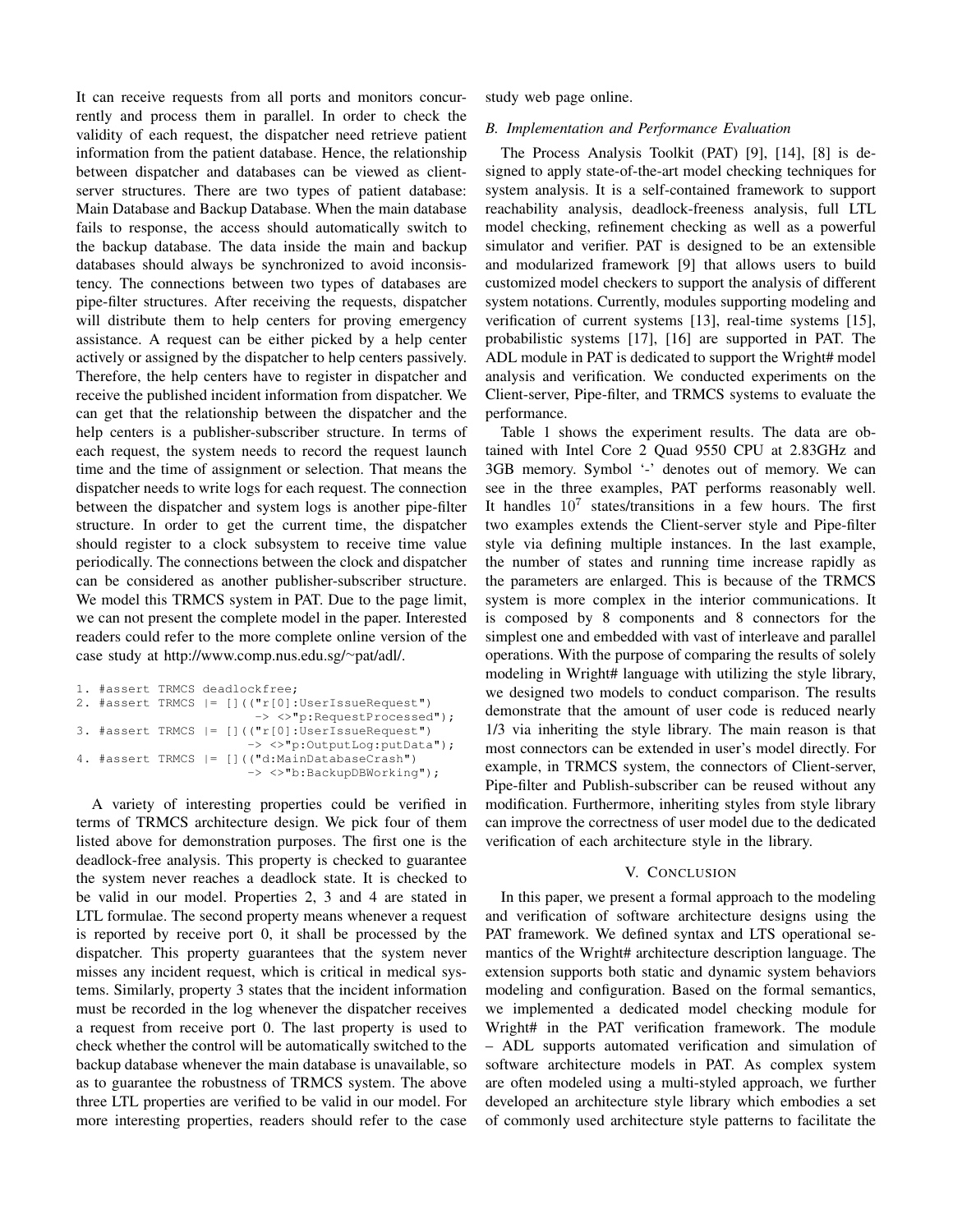It can receive requests from all ports and monitors concurrently and process them in parallel. In order to check the validity of each request, the dispatcher need retrieve patient information from the patient database. Hence, the relationship between dispatcher and databases can be viewed as clientserver structures. There are two types of patient database: Main Database and Backup Database. When the main database fails to response, the access should automatically switch to the backup database. The data inside the main and backup databases should always be synchronized to avoid inconsistency. The connections between two types of databases are pipe-filter structures. After receiving the requests, dispatcher will distribute them to help centers for proving emergency assistance. A request can be either picked by a help center actively or assigned by the dispatcher to help centers passively. Therefore, the help centers have to register in dispatcher and receive the published incident information from dispatcher. We can get that the relationship between the dispatcher and the help centers is a publisher-subscriber structure. In terms of each request, the system needs to record the request launch time and the time of assignment or selection. That means the dispatcher needs to write logs for each request. The connection between the dispatcher and system logs is another pipe-filter structure. In order to get the current time, the dispatcher should register to a clock subsystem to receive time value periodically. The connections between the clock and dispatcher can be considered as another publisher-subscriber structure. We model this TRMCS system in PAT. Due to the page limit, we can not present the complete model in the paper. Interested readers could refer to the more complete online version of the case study at http://www.comp.nus.edu.sg/*∼*pat/adl/.

```
1. #assert TRMCS deadlockfree;
2. #assert TRMCS |= [](("r[0]:UserIssueRequest")
                        -> <>"p:RequestProcessed");
3. #assert TRMCS |= [](("r[0]:UserIssueRequest")
                       -> <>"p:OutputLog:putData");
4. #assert TRMCS |= [](("d:MainDatabaseCrash")
                       -> <>"b:BackupDBWorking");
```
A variety of interesting properties could be verified in terms of TRMCS architecture design. We pick four of them listed above for demonstration purposes. The first one is the deadlock-free analysis. This property is checked to guarantee the system never reaches a deadlock state. It is checked to be valid in our model. Properties 2, 3 and 4 are stated in LTL formulae. The second property means whenever a request is reported by receive port 0, it shall be processed by the dispatcher. This property guarantees that the system never misses any incident request, which is critical in medical systems. Similarly, property 3 states that the incident information must be recorded in the log whenever the dispatcher receives a request from receive port 0. The last property is used to check whether the control will be automatically switched to the backup database whenever the main database is unavailable, so as to guarantee the robustness of TRMCS system. The above three LTL properties are verified to be valid in our model. For more interesting properties, readers should refer to the case

study web page online.

# *B. Implementation and Performance Evaluation*

The Process Analysis Toolkit (PAT) [9], [14], [8] is designed to apply state-of-the-art model checking techniques for system analysis. It is a self-contained framework to support reachability analysis, deadlock-freeness analysis, full LTL model checking, refinement checking as well as a powerful simulator and verifier. PAT is designed to be an extensible and modularized framework [9] that allows users to build customized model checkers to support the analysis of different system notations. Currently, modules supporting modeling and verification of current systems [13], real-time systems [15], probabilistic systems [17], [16] are supported in PAT. The ADL module in PAT is dedicated to support the Wright# model analysis and verification. We conducted experiments on the Client-server, Pipe-filter, and TRMCS systems to evaluate the performance.

Table 1 shows the experiment results. The data are obtained with Intel Core 2 Quad 9550 CPU at 2.83GHz and 3GB memory. Symbol '-' denotes out of memory. We can see in the three examples, PAT performs reasonably well. It handles  $10^7$  states/transitions in a few hours. The first two examples extends the Client-server style and Pipe-filter style via defining multiple instances. In the last example, the number of states and running time increase rapidly as the parameters are enlarged. This is because of the TRMCS system is more complex in the interior communications. It is composed by 8 components and 8 connectors for the simplest one and embedded with vast of interleave and parallel operations. With the purpose of comparing the results of solely modeling in Wright# language with utilizing the style library, we designed two models to conduct comparison. The results demonstrate that the amount of user code is reduced nearly 1/3 via inheriting the style library. The main reason is that most connectors can be extended in user's model directly. For example, in TRMCS system, the connectors of Client-server, Pipe-filter and Publish-subscriber can be reused without any modification. Furthermore, inheriting styles from style library can improve the correctness of user model due to the dedicated verification of each architecture style in the library.

# V. CONCLUSION

In this paper, we present a formal approach to the modeling and verification of software architecture designs using the PAT framework. We defined syntax and LTS operational semantics of the Wright# architecture description language. The extension supports both static and dynamic system behaviors modeling and configuration. Based on the formal semantics, we implemented a dedicated model checking module for Wright# in the PAT verification framework. The module – ADL supports automated verification and simulation of software architecture models in PAT. As complex system are often modeled using a multi-styled approach, we further developed an architecture style library which embodies a set of commonly used architecture style patterns to facilitate the